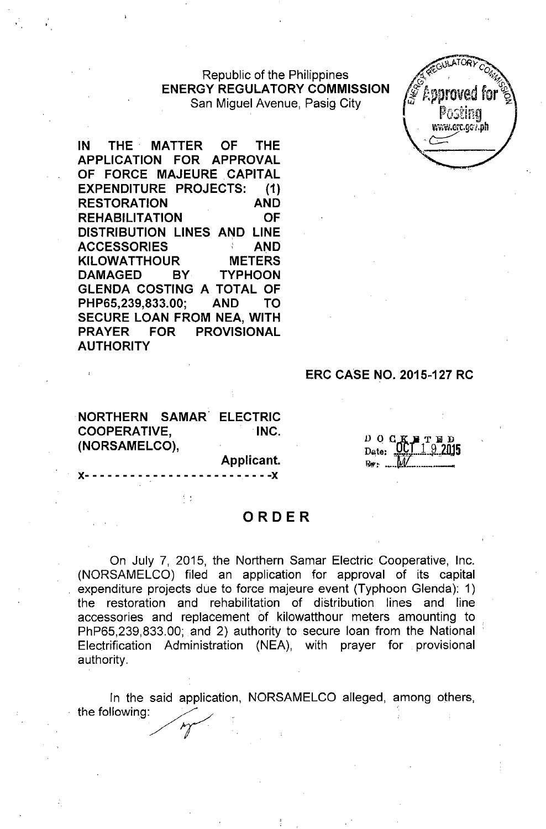## Republic of the Philippines **ENERGY REGULATORY COMMISSION** San Miguel Avenue, Pasig City

yww.erc.gg7.dh

**IN THE. MATTER OF THE APPLICATION FOR APPROVAL OF FORCE MAJEURE .CAPITAL EXPENDITURE PROJECTS: (1) RESTORATION AND REHABILITATION OF DISTRIBUTION LINES AND LINE ACCESSORIES AND KILOWATTHOUR METERS DAMAGED BY TYPHOON GLENDA COSTING A TOTAL OF PHP65,239,833.00; AND TO SECURE LOAN FROM NEA, WITH PRAYER FOR PROVISIONAL AUTHORITY**

### **ERC CASE NO. 2015-127 RC**

**NORTHERN SAMAR. ELECTRIC COOPERATIVE, .INC. (NORSAMELCO),**

 $\frac{1}{2}$ 

**Applicant.**

 $- - - - - - X$ 

 $\begin{array}{cc}\nD & Q & G & K & F & T & D \\
\text{Data} & D & 1 & 9 & 2M\n\end{array}$  $92015$ Date: 

# **ORDER**

On July 7, 2015, the Northern Samar Electric Cooperative, Inc. (NORSAMELCO) filed an application for approval of its capital expenditure projects due to force majeure event (Typhoon Glenda): 1) the restoration and rehabilitation of distribution lines and line accessories and replacement of kilowatthour meters amounting to . PhP65,239,833.00; and 2) authority to secure loan from the National Electrification Administration (NEA), with prayer for provisional authority.

In the said application, NORSAMELCO alleged, among others, the following: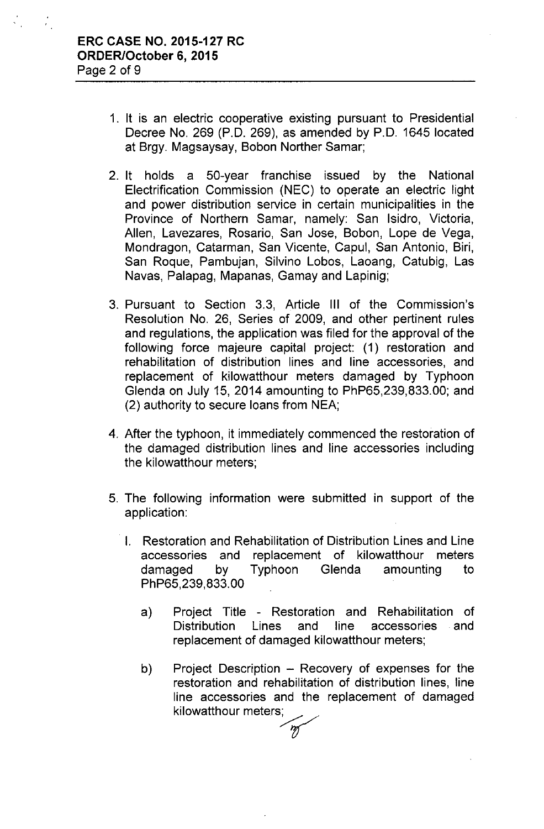$\frac{1}{2}$  .

 $\mathcal{L}^{\text{max}}$ 

- 1. It is an electric cooperative existing pursuant to Presidential Decree No. 269 (P.O. 269), as amended by P.O. 1645 located at Brgy. Magsaysay, Bobon Norther Samar;
- 2. It holds a 50-year franchise issued by the National Electrification Commission (NEC) to operate an electric light and power distribution service in certain municipalities in the Province of Northern Samar, namely: San Isidro, Victoria, Allen, Lavezares, Rosario, San Jose, Sobon, Lope de Vega, Mondragon, Catarman, San Vicente, Capul, San Antonio, Siri, San Roque, Pambujan, Silvino Lobos, Laoang, Catubig, Las Navas, Palapag, Mapanas, Gamay and Lapinig;
- 3. Pursuant to Section 3.3, Article III of the Commission's Resolution No. 26, Series of 2009, and other pertinent rules and regulations, the application was filed for the approval of the following force majeure capital project: (1) restoration and rehabilitation of distribution lines and line accessories, and replacement of kilowatthour meters damaged by Typhoon Glenda on July 15, 2014 amounting to PhP65,239,833.00; and (2) authority to secure loans from NEA;
- 4. After the typhoon, it immediately commenced the restoration of the damaged distribution lines and line accessories including the kilowatthour meters;
- 5. The following information were submitted in support of the application:
	- . I. Restoration and Rehabilitation of Distribution Lines and Line accessories and replacement of kilowatthour meters damaged by Typhoon Glenda amounting to PhP65,239,833.00
		- a) Project Title Restoration and Rehabilitation of Distribution Lines and line accessories and replacement of damaged kilowatthour meters;
		- b) Project Description Recovery of expenses for the restoration and rehabilitation of distribution lines, line line accessories and the replacement of damaged kilowatthour meters;

'm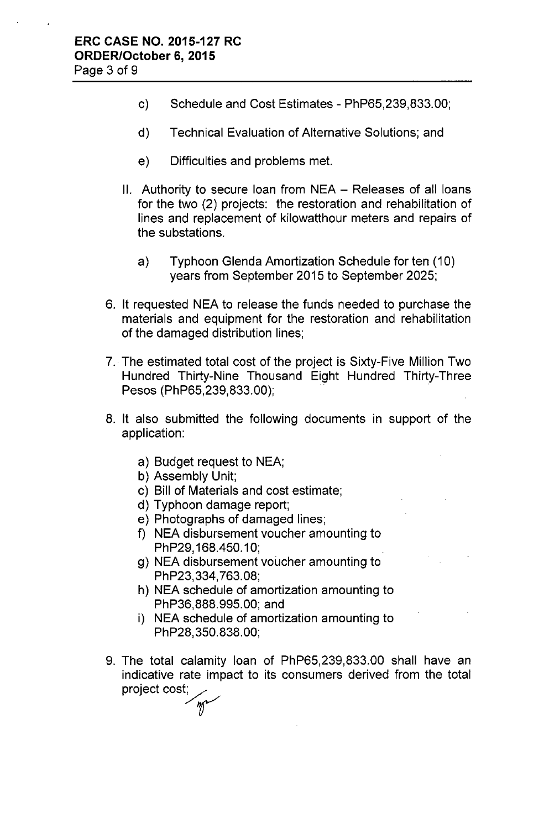- c) Schedule and Cost Estimates PhP65,239,833.00;
- d) Technical Evaluation of Alternative Solutions; and
- e) Difficulties and problems met.
- II. Authority to secure loan from NEA Releases of all loans for the two (2) projects: the restoration and rehabilitation of lines and replacement of kilowatthour meters and repairs of the substations.
	- a) Typhoon Glenda Amortization Schedule for ten (10) years from September 2015 to September 2025;
- 6. It requested NEA to release the funds needed to purchase the materials and equipment for the restoration and rehabilitation of the damaged distribution lines;
- 7.. The estimated total cost of the project is Sixty-Five Million Two Hundred Thirty-Nine Thousand Eight Hundred Thirty-Three Pesos (PhP65,239,833.00);
- 8. It also submitted the following documents in support of the application:
	- a) Budget request to NEA;
	- b) Assembly Unit;
	- c) Bill of Materials and cost estimate;
	- d) Typhoon damage report;
	- e) Photographs of damaged lines;
	- f) NEA disbursement voucher amounting to PhP29,168.450.10;
	- g) NEA disbursement voucher amounting to PhP23,334,763.08;
	- h) NEA schedule of amortization amounting to PhP36,888.995.00; and
	- i) NEA schedule of amortization amounting to PhP28,350.838.00;
- 9. The total calamity loan of PhP65,239,833.00 shall have an indicative rate impact to its consumers derived from the total project cost; amit<sub>!</sub><br>• im<sub>l</sub><br>n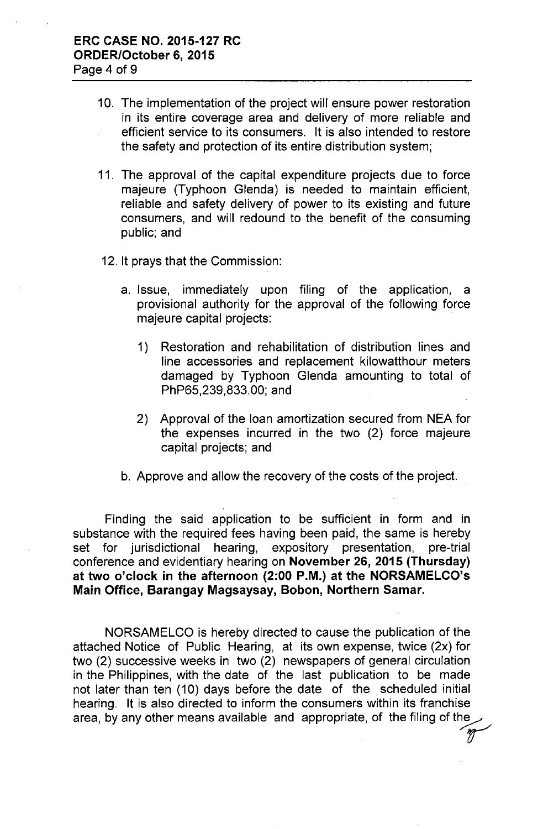- 10. The implementation of the project will ensure power restoration in its entire coverage area and delivery of more reliable and efficient service to its consumers. It is also intended to restore the safety and protection of its entire distribution system;
- 11. The approval of the capital expenditure projects due to force majeure (Typhoon Glenda) is needed to maintain efficient, reliable and safety delivery of power to its existing and future consumers, and will redound to the benefit of the consuming public; and
- 12. It prays that the Commission:
	- a. Issue, immediately upon filing of the application, a provisional authority for the approval of the following force majeure capital projects:
		- 1) Restoration and rehabilitation of distribution lines and line accessories and replacement kilowatthour meters damaged by Typhoon Glenda amounting to total of PhP65,239,833.00; and
		- 2) Approval of the loan amortization secured from NEA for the expenses incurred in the two (2) force majeure capital projects; and
	- b. Approve and allow the recovery of the costs of the project.

Finding the said application to be sufficient in form and in substance with the required fees having been paid, the same is hereby<br>set for jurisdictional hearing, expository presentation, pre-trial set for jurisdictional hearing, expository presentation, pre-trial conference and evidentiary hearing on **November 26,2015 (Thursday) at two o'clock in the afternoon (2:00 P.M.) at the NORSAMELCO's Main Office, Barangay Magsaysay, Bobon, Northern Samar.**

NORSAMELCO is hereby directed to cause the publication of the attached Notice of Public Hearing, at its own expense, twice (2x) for two (2) successive weeks in two (2) newspapers of general circulation in the Philippines, with the date of the last publication to be made not later than ten (10) days before the date of the scheduled initial hearing. It is also directed to inform the consumers within its franchise area, by any other means available and appropriate, of the filing of the r<br>ar<br>M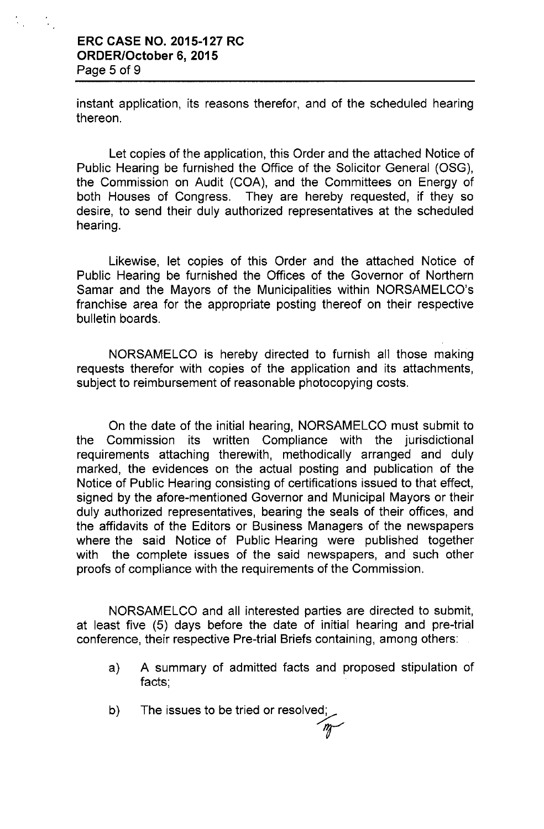## **ERC CASE NO. 2015-127 RC ORDER/October 6, 2015** Page 5 of 9

instant application, its reasons therefor, and of the scheduled hearing thereon.

Let copies of the application, this Order and the attached Notice of Public Hearing be furnished the Office of the Solicitor General (OSG), the Commission on Audit (COA), and the Committees on Energy of both Houses of Congress. They are hereby requested, if they so desire, to send their duly authorized representatives at the scheduled hearing.

Likewise, let copies of this Order and the attached Notice of Public Hearing be furnished the Offices of the Governor of Northern Samar and the Mayors of the Municipalities within NORSAMELCO's franchise area for the appropriate posting thereof on their respective bulletin boards.

NORSAMELCO is hereby directed to furnish all those making requests therefor with copies of the application and its attachments, subject to reimbursement of reasonable photocopying costs.

On the date of the initial hearing, NORSAMELCO must submit to the Commission its written Compliance with the jurisdictional requirements attaching therewith, methodically arranged and duly marked, the evidences on the actual posting and publication of the Notice of Public Hearing consisting of certifications issued to that effect, signed by the afore-mentioned Governor and Municipal Mayors or their duly authorized representatives, bearing the seals of their offices, and the affidavits of the Editors or Business Managers of the newspapers where the said Notice of Public Hearing were published together with the complete issues of the said newspapers, and such other proofs of compliance with the requirements of the Commission.

NORSAMELCO and all interested parties are directed to submit, at least five (5) days before the date of initial hearing and pre-trial conference, their respective Pre-trial Briefs containing, among others:

- a) A summary of admitted facts and proposed stipulation of facts;
- b) The issues to be tried or resolvec 'r'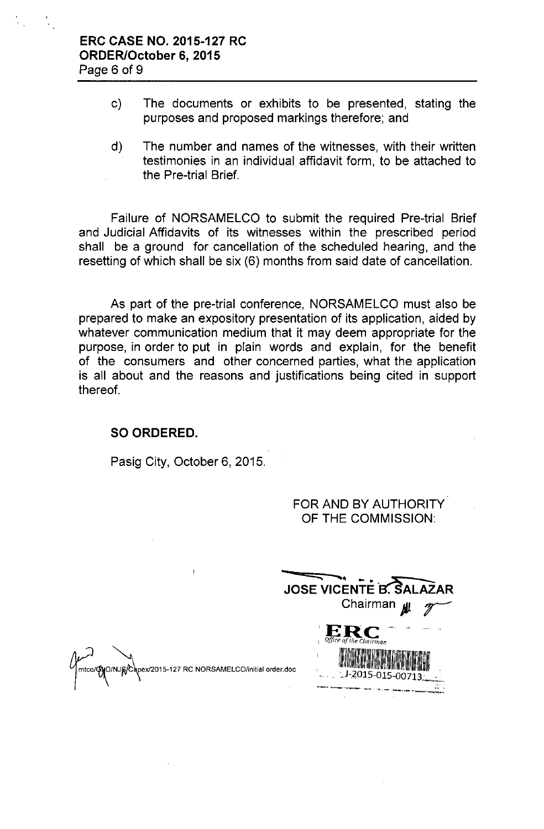- c) The documents or exhibits to be presented, stating the purposes and proposed markings therefore; and
- d) The number and names of the witnesses, with their written testimonies in an individual affidavit form, to be attached to the Pre-trial Brief.

Failure of NORSAMELCO to submit the required Pre-trial Brief and Judicial Affidavits of its witnesses within the prescribed period shall be a ground for cancellation of the scheduled hearing, and the resetting of which shall be six (6) months from said date of cancellation.

As part of the pre-trial conference, NORSAMELCO must also be prepared to make an expository presentation of its application, aided by whatever communication medium that it may deem appropriate for the purpose, in order to put in plain words and explain, for the benefit of the consumers and other concerned parties, what the application is all about and the reasons and justifications being cited in support thereof.

#### **SO ORDERED.**

Pasig City, October 6, 2015.

 $\ddagger$ 

FOR AND BY AUTHORITY OF THE COMMISSION:

**- JOSE VICENTE B. SAL** Chairman **All 'ERe - --** <sup>I</sup> *Office a/the Chairman*  $-1.2015 - 015 - 00713$ 

mtco/GyO/NJg/Capex/2015-127 RC NORSAMELCO/initial order.doc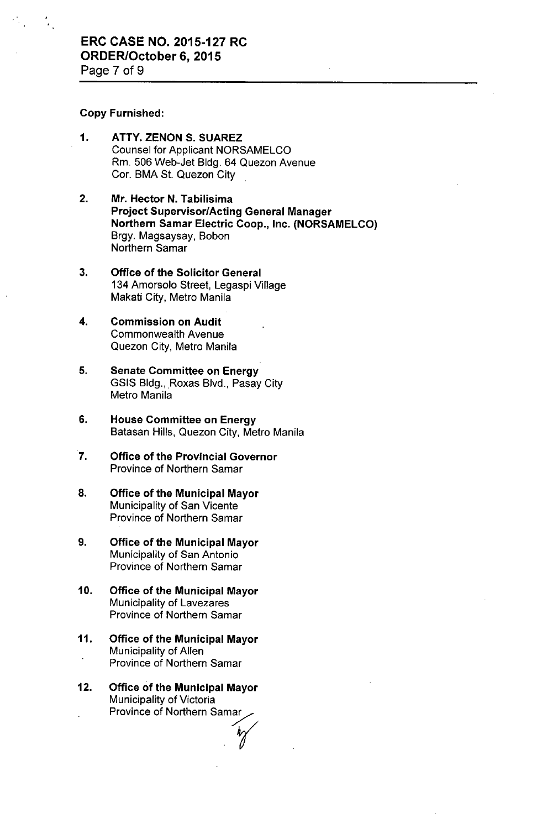#### Copy Furnished:

- 1. ATTY. ZENON S. SUAREZ Counsel for Applicant NORSAMELCO Rm. 506 Web-Jet Bldg. 64 Quezon Avenue Cor. BMA St. Quezon City
- 2. Mr. Hector N. Tabilisima Project Supervisor/Acting General Manager Northern Samar Electric Coop., Inc. (NORSAMELCO) Brgy. Magsaysay, Bobon Northern Samar
- 3. Office of the Solicitor General 134 Amorsolo Street, Legaspi Village Makati City, Metro Manila
- 4. Commission on Audit Commonwealth Avenue Quezon City, Metro Manila
- 5. Senate Committee on Energy GSIS Bldg., Roxas Blvd., Pasay City Metro Manila
- 6. House Committee on Energy Batasan Hills, Quezon City, Metro Manila
- 7. Office of the Provincial Governor Province of Northern Samar
- 8. Office of the Municipal Mayor Municipality of San Vicente Province of Northern Samar
- 9. Office of the Municipal Mayor Municipality of San Antonio Province of Northern Samar
- 10. Office of the Municipal Mayor Municipality of Lavezares Province of Northern Samar
- 11. Office of the Municipal Mayor Municipality of Allen Province of Northern Samar
- 12. Office of the Municipal Mayor Municipality of Victoria Province of Northern Samar mar<br>.*r*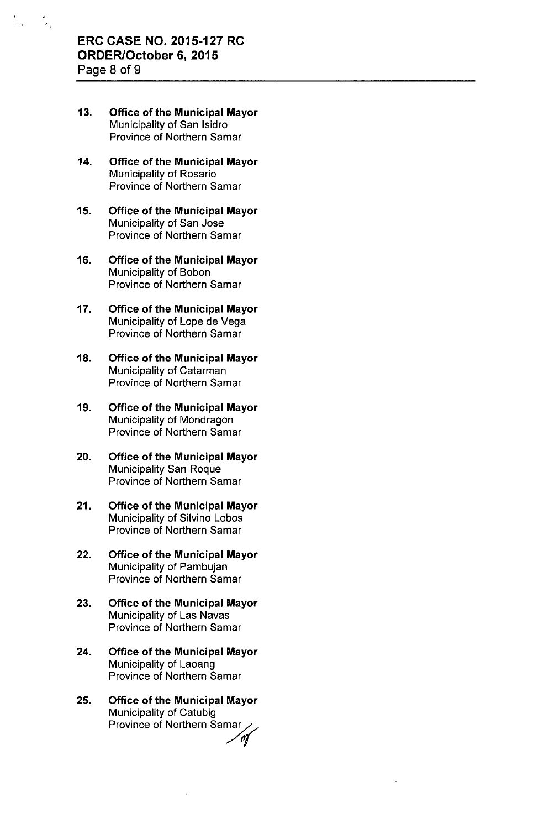- 13. Office of the Municipal Mayor Municipality of San Isidro Province of Northern Samar
- 14. Office of the Municipal Mayor Municipality of Rosario Province of Northern Samar
- 15. Office of the Municipal Mayor Municipality of San Jose Province of Northern Samar
- 16. Office of the Municipal Mayor Municipality of Sobon Province of Northern Samar
- 17. Office of the Municipal Mayor Municipality of Lope de Vega Province of Northern Samar
- 18. Office of the Municipal Mayor Municipality of Catarman Province of Northern Samar
- 19. Office of the Municipal Mayor Municipality of Mondragon Province of Northern Samar
- 20. Office of the Municipal Mayor Municipality San Roque Province of Northern Samar
- 21. Office of the Municipal Mayor Municipality of Silvino Lobos Province of Northern Samar
- 22. Office of the Municipal Mayor Municipality of Pambujan Province of Northern Samar
- 23. Office of the Municipal Mayor Municipality of Las Navas Province of Northern Samar
- 24. Office of the Municipal Mayor Municipality of Laoang Province of Northern Samar
- 25. Office of the Municipal Mayor Municipality of Catubig Province of Northern Samar